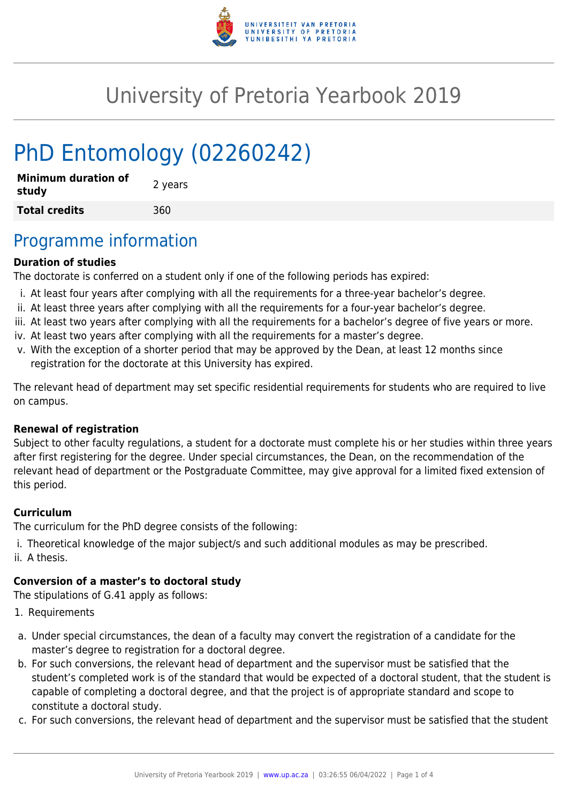

# University of Pretoria Yearbook 2019

# PhD Entomology (02260242)

| <b>Minimum duration of</b><br>study | 2 years |
|-------------------------------------|---------|
| <b>Total credits</b>                | 360     |

### Programme information

#### **Duration of studies**

The doctorate is conferred on a student only if one of the following periods has expired:

- i. At least four years after complying with all the requirements for a three-year bachelor's degree.
- ii. At least three years after complying with all the requirements for a four-year bachelor's degree.
- iii. At least two years after complying with all the requirements for a bachelor's degree of five years or more.
- iv. At least two years after complying with all the requirements for a master's degree.
- v. With the exception of a shorter period that may be approved by the Dean, at least 12 months since registration for the doctorate at this University has expired.

The relevant head of department may set specific residential requirements for students who are required to live on campus.

#### **Renewal of registration**

Subject to other faculty regulations, a student for a doctorate must complete his or her studies within three years after first registering for the degree. Under special circumstances, the Dean, on the recommendation of the relevant head of department or the Postgraduate Committee, may give approval for a limited fixed extension of this period.

#### **Curriculum**

The curriculum for the PhD degree consists of the following:

- i. Theoretical knowledge of the major subject/s and such additional modules as may be prescribed.
- ii. A thesis.

#### **Conversion of a master's to doctoral study**

The stipulations of G.41 apply as follows:

- 1. Requirements
- a. Under special circumstances, the dean of a faculty may convert the registration of a candidate for the master's degree to registration for a doctoral degree.
- b. For such conversions, the relevant head of department and the supervisor must be satisfied that the student's completed work is of the standard that would be expected of a doctoral student, that the student is capable of completing a doctoral degree, and that the project is of appropriate standard and scope to constitute a doctoral study.
- c. For such conversions, the relevant head of department and the supervisor must be satisfied that the student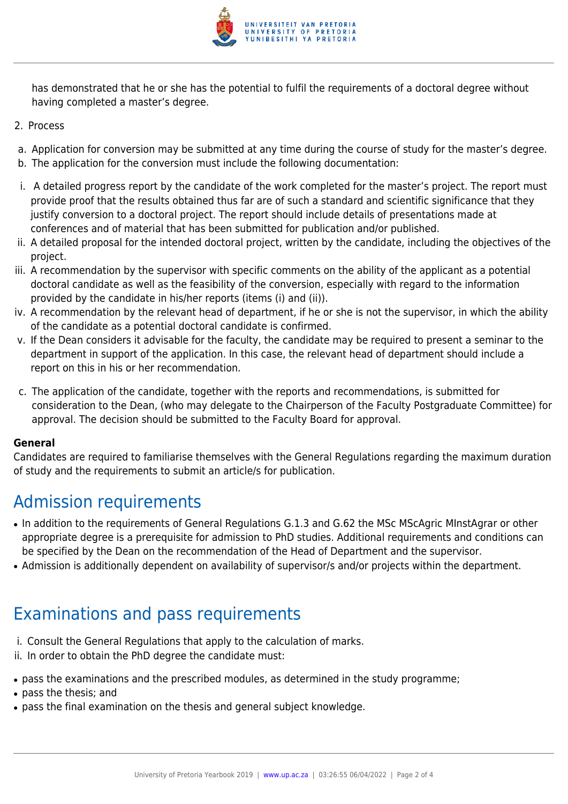

has demonstrated that he or she has the potential to fulfil the requirements of a doctoral degree without having completed a master's degree.

- 2. Process
- a. Application for conversion may be submitted at any time during the course of study for the master's degree.
- b. The application for the conversion must include the following documentation:
- i. A detailed progress report by the candidate of the work completed for the master's project. The report must provide proof that the results obtained thus far are of such a standard and scientific significance that they justify conversion to a doctoral project. The report should include details of presentations made at conferences and of material that has been submitted for publication and/or published.
- ii. A detailed proposal for the intended doctoral project, written by the candidate, including the objectives of the project.
- iii. A recommendation by the supervisor with specific comments on the ability of the applicant as a potential doctoral candidate as well as the feasibility of the conversion, especially with regard to the information provided by the candidate in his/her reports (items (i) and (ii)).
- iv. A recommendation by the relevant head of department, if he or she is not the supervisor, in which the ability of the candidate as a potential doctoral candidate is confirmed.
- v. If the Dean considers it advisable for the faculty, the candidate may be required to present a seminar to the department in support of the application. In this case, the relevant head of department should include a report on this in his or her recommendation.
- c. The application of the candidate, together with the reports and recommendations, is submitted for consideration to the Dean, (who may delegate to the Chairperson of the Faculty Postgraduate Committee) for approval. The decision should be submitted to the Faculty Board for approval.

#### **General**

Candidates are required to familiarise themselves with the General Regulations regarding the maximum duration of study and the requirements to submit an article/s for publication.

## Admission requirements

- In addition to the requirements of General Regulations G.1.3 and G.62 the MSc MScAgric MInstAgrar or other appropriate degree is a prerequisite for admission to PhD studies. Additional requirements and conditions can be specified by the Dean on the recommendation of the Head of Department and the supervisor.
- Admission is additionally dependent on availability of supervisor/s and/or projects within the department.

## Examinations and pass requirements

- i. Consult the General Regulations that apply to the calculation of marks.
- ii. In order to obtain the PhD degree the candidate must:
- pass the examinations and the prescribed modules, as determined in the study programme;
- pass the thesis; and
- pass the final examination on the thesis and general subject knowledge.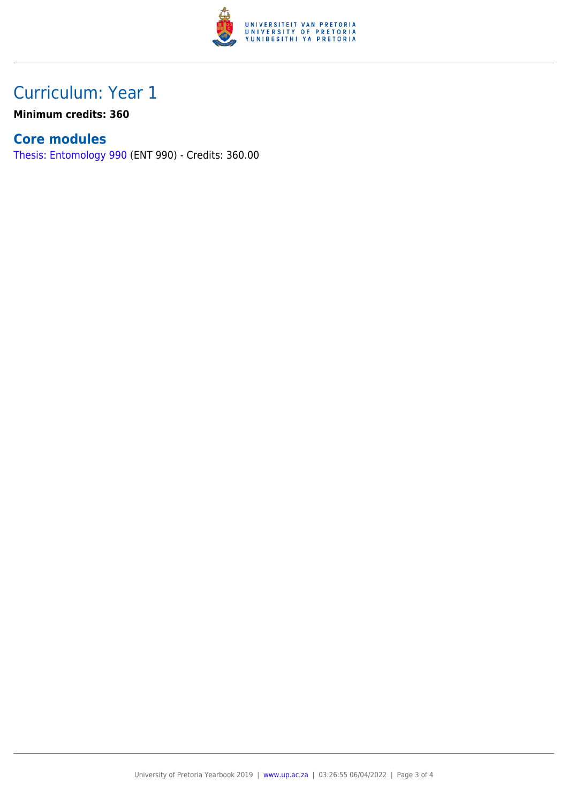

### Curriculum: Year 1

**Minimum credits: 360**

### **Core modules**

[Thesis: Entomology 990](https://www.up.ac.za/faculty-of-education/yearbooks/2019/modules/view/ENT 990) (ENT 990) - Credits: 360.00